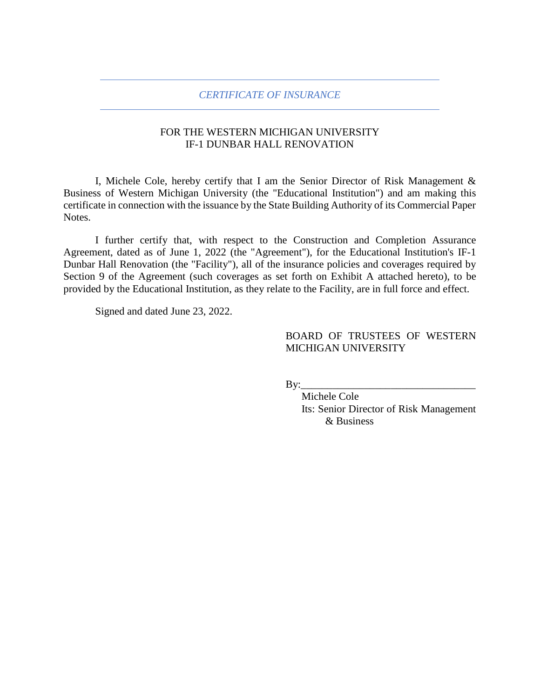### *CERTIFICATE OF INSURANCE*

# FOR THE WESTERN MICHIGAN UNIVERSITY IF-1 DUNBAR HALL RENOVATION

I, Michele Cole, hereby certify that I am the Senior Director of Risk Management & Business of Western Michigan University (the "Educational Institution") and am making this certificate in connection with the issuance by the State Building Authority of its Commercial Paper Notes.

I further certify that, with respect to the Construction and Completion Assurance Agreement, dated as of June 1, 2022 (the "Agreement"), for the Educational Institution's IF-1 Dunbar Hall Renovation (the "Facility"), all of the insurance policies and coverages required by Section 9 of the Agreement (such coverages as set forth on Exhibit A attached hereto), to be provided by the Educational Institution, as they relate to the Facility, are in full force and effect.

Signed and dated June 23, 2022.

## BOARD OF TRUSTEES OF WESTERN MICHIGAN UNIVERSITY

 $By:$ 

Michele Cole Its: Senior Director of Risk Management & Business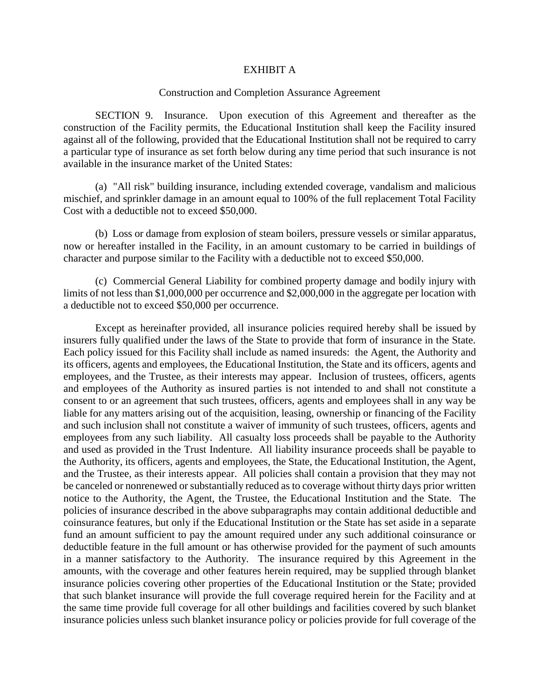### EXHIBIT A

### Construction and Completion Assurance Agreement

SECTION 9. Insurance. Upon execution of this Agreement and thereafter as the construction of the Facility permits, the Educational Institution shall keep the Facility insured against all of the following, provided that the Educational Institution shall not be required to carry a particular type of insurance as set forth below during any time period that such insurance is not available in the insurance market of the United States:

(a) "All risk" building insurance, including extended coverage, vandalism and malicious mischief, and sprinkler damage in an amount equal to 100% of the full replacement Total Facility Cost with a deductible not to exceed \$50,000.

(b) Loss or damage from explosion of steam boilers, pressure vessels or similar apparatus, now or hereafter installed in the Facility, in an amount customary to be carried in buildings of character and purpose similar to the Facility with a deductible not to exceed \$50,000.

(c) Commercial General Liability for combined property damage and bodily injury with limits of not less than \$1,000,000 per occurrence and \$2,000,000 in the aggregate per location with a deductible not to exceed \$50,000 per occurrence.

Except as hereinafter provided, all insurance policies required hereby shall be issued by insurers fully qualified under the laws of the State to provide that form of insurance in the State. Each policy issued for this Facility shall include as named insureds: the Agent, the Authority and its officers, agents and employees, the Educational Institution, the State and its officers, agents and employees, and the Trustee, as their interests may appear. Inclusion of trustees, officers, agents and employees of the Authority as insured parties is not intended to and shall not constitute a consent to or an agreement that such trustees, officers, agents and employees shall in any way be liable for any matters arising out of the acquisition, leasing, ownership or financing of the Facility and such inclusion shall not constitute a waiver of immunity of such trustees, officers, agents and employees from any such liability. All casualty loss proceeds shall be payable to the Authority and used as provided in the Trust Indenture. All liability insurance proceeds shall be payable to the Authority, its officers, agents and employees, the State, the Educational Institution, the Agent, and the Trustee, as their interests appear. All policies shall contain a provision that they may not be canceled or nonrenewed or substantially reduced as to coverage without thirty days prior written notice to the Authority, the Agent, the Trustee, the Educational Institution and the State. The policies of insurance described in the above subparagraphs may contain additional deductible and coinsurance features, but only if the Educational Institution or the State has set aside in a separate fund an amount sufficient to pay the amount required under any such additional coinsurance or deductible feature in the full amount or has otherwise provided for the payment of such amounts in a manner satisfactory to the Authority. The insurance required by this Agreement in the amounts, with the coverage and other features herein required, may be supplied through blanket insurance policies covering other properties of the Educational Institution or the State; provided that such blanket insurance will provide the full coverage required herein for the Facility and at the same time provide full coverage for all other buildings and facilities covered by such blanket insurance policies unless such blanket insurance policy or policies provide for full coverage of the